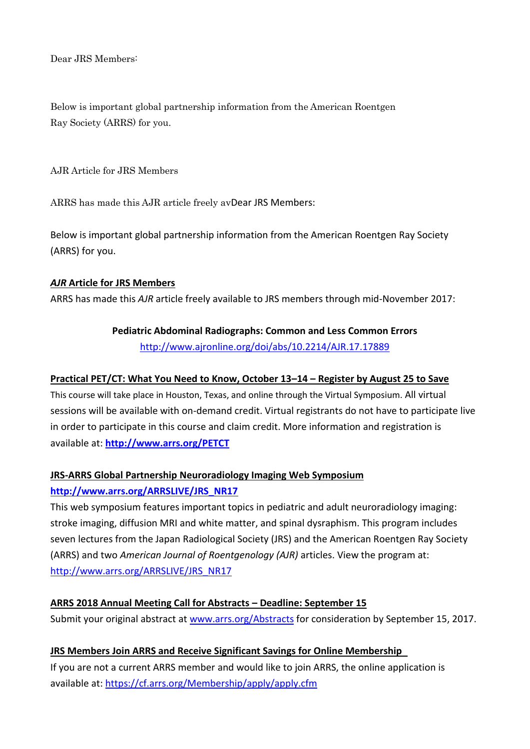Dear JRS Members:

Below is important global partnership information from the American Roentgen Ray Society (ARRS) for you.

AJR Article for JRS Members

ARRS has made this AJR article freely avDear JRS Members:

Below is important global partnership information from the American Roentgen Ray Society (ARRS) for you.

#### *AJR* **Article for JRS Members**

ARRS has made this *AJR* article freely available to JRS members through mid-November 2017:

## **Pediatric Abdominal Radiographs: Common and Less Common Errors**

[http://www.ajronline.org/doi/abs/10.2214/AJR.17.17889](http://www.ajronline..org/doi/abs/10.2214/AJR.17.17889)

## **Practical PET/CT: What You Need to Know, October 13–14 – Register by August 25 to Save**

This course will take place in Houston, Texas, and online through the Virtual Symposium. All virtual sessions will be available with on-demand credit. Virtual registrants do not have to participate live in order to participate in this course and claim credit. More information and registration is available at: **<http://www.arrs.org/PETCT>**

## **JRS-ARRS Global Partnership Neuroradiology Imaging Web Symposium**

## **[http://www.arrs.org/ARRSLIVE/JRS\\_NR17](http://www.arrs.org/ARRSLIVE/JRS_NR17)**

This web symposium features important topics in pediatric and adult neuroradiology imaging: stroke imaging, diffusion MRI and white matter, and spinal dysraphism. This program includes seven lectures from the Japan Radiological Society (JRS) and the American Roentgen Ray Society (ARRS) and two *American Journal of Roentgenology (AJR)* articles. View the program at: [http://www.arrs.org/ARRSLIVE/JRS\\_NR17](http://www.arrs.org/ARRSLIVE/JRS_NR17)

## **ARRS 2018 Annual Meeting Call for Abstracts – Deadline: September 15**

Submit your original abstract at [www.arrs.org/Abstracts](http://www.arrs.org/Abstracts) for consideration by September 15, 2017.

# **JRS Members Join ARRS and Receive Significant Savings for Online Membership**

If you are not a current ARRS member and would like to join ARRS, the online application is available at: <https://cf.arrs.org/Membership/apply/apply.cfm>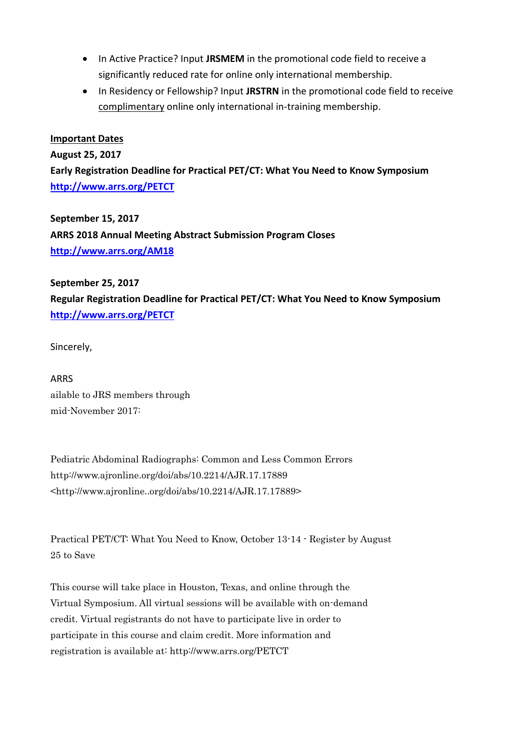- In Active Practice? Input **JRSMEM** in the promotional code field to receive a significantly reduced rate for online only international membership.
- In Residency or Fellowship? Input **JRSTRN** in the promotional code field to receive complimentary online only international in-training membership.

#### **Important Dates**

**August 25, 2017**

**Early Registration Deadline for Practical PET/CT: What You Need to Know Symposium <http://www.arrs.org/PETCT>**

**September 15, 2017 ARRS 2018 Annual Meeting Abstract Submission Program Closes <http://www.arrs.org/AM18>**

**September 25, 2017 Regular Registration Deadline for Practical PET/CT: What You Need to Know Symposium <http://www.arrs.org/PETCT>**

Sincerely,

ARRS ailable to JRS members through mid-November 2017:

Pediatric Abdominal Radiographs: Common and Less Common Errors http://www.ajronline.org/doi/abs/10.2214/AJR.17.17889 <http://www.ajronline..org/doi/abs/10.2214/AJR.17.17889>

Practical PET/CT: What You Need to Know, October 13-14 - Register by August 25 to Save

This course will take place in Houston, Texas, and online through the Virtual Symposium. All virtual sessions will be available with on-demand credit. Virtual registrants do not have to participate live in order to participate in this course and claim credit. More information and registration is available at: http://www.arrs.org/PETCT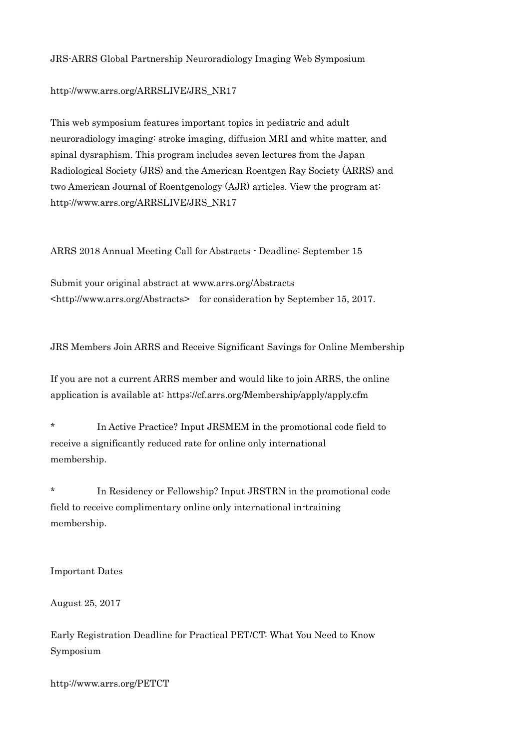JRS-ARRS Global Partnership Neuroradiology Imaging Web Symposium

http://www.arrs.org/ARRSLIVE/JRS\_NR17

This web symposium features important topics in pediatric and adult neuroradiology imaging: stroke imaging, diffusion MRI and white matter, and spinal dysraphism. This program includes seven lectures from the Japan Radiological Society (JRS) and the American Roentgen Ray Society (ARRS) and two American Journal of Roentgenology (AJR) articles. View the program at: http://www.arrs.org/ARRSLIVE/JRS\_NR17

ARRS 2018 Annual Meeting Call for Abstracts - Deadline: September 15

Submit your original abstract at www.arrs.org/Abstracts <http://www.arrs.org/Abstracts> for consideration by September 15, 2017.

JRS Members Join ARRS and Receive Significant Savings for Online Membership

If you are not a current ARRS member and would like to join ARRS, the online application is available at: https://cf.arrs.org/Membership/apply/apply.cfm

\* In Active Practice? Input JRSMEM in the promotional code field to receive a significantly reduced rate for online only international membership.

\* In Residency or Fellowship? Input JRSTRN in the promotional code field to receive complimentary online only international in-training membership.

Important Dates

August 25, 2017

Early Registration Deadline for Practical PET/CT: What You Need to Know Symposium

http://www.arrs.org/PETCT